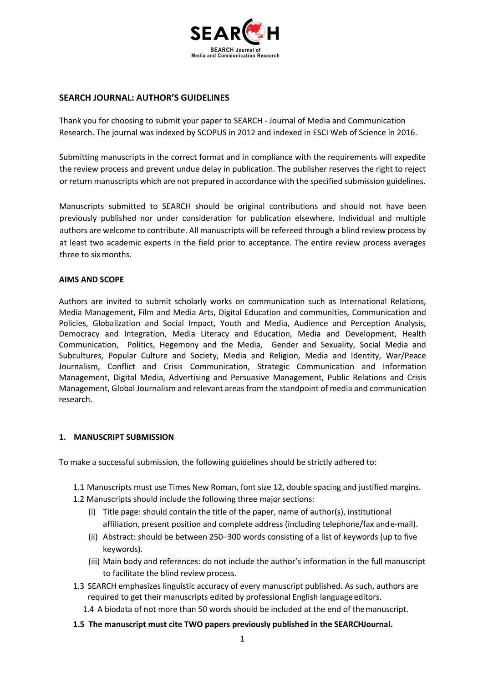

# **SEARCH JOURNAL: AUTHOR'S GUIDELINES**

Thank you for choosing to submit your paper to SEARCH - Journal of Media and Communication Research. The journal was indexed by SCOPUS in 2012 and indexed in ESCI Web of Science in 2016.

Submitting manuscripts in the correct format and in compliance with the requirements will expedite the review process and prevent undue delay in publication. The publisher reserves the right to reject or return manuscripts which are not prepared in accordance with the specified submission guidelines.

Manuscripts submitted to SEARCH should be original contributions and should not have been previously published nor under consideration for publication elsewhere. Individual and multiple authors are welcome to contribute. All manuscripts will be refereed through a blind review process by at least two academic experts in the field prior to acceptance. The entire review process averages three to six months.

#### **AIMS AND SCOPE**

Authors are invited to submit scholarly works on communication such as International Relations, Media Management, Film and Media Arts, Digital Education and communities, Communication and Policies, Globalization and Social Impact, Youth and Media, Audience and Perception Analysis, Democracy and Integration, Media Literacy and Education, Media and Development, Health Communication, Politics, Hegemony and the Media, Gender and Sexuality, Social Media and Subcultures, Popular Culture and Society, Media and Religion, Media and Identity, War/Peace Journalism, Conflict and Crisis Communication, Strategic Communication and Information Management, Digital Media, Advertising and Persuasive Management, Public Relations and Crisis Management, Global Journalism and relevant areas from the standpoint of media and communication research.

## **1. MANUSCRIPT SUBMISSION**

To make a successful submission, the following guidelines should be strictly adhered to:

- 1.1 Manuscripts must use Times New Roman, font size 12, double spacing and justified margins.
- 1.2 Manuscripts should include the following three major sections:
	- (i) Title page: should contain the title of the paper, name of author(s), institutional affiliation, present position and complete address (including telephone/fax and e-mail).
	- (ii) Abstract: should be between 250–300 words consisting of a list of keywords (up to five keywords).
	- (iii) Main body and references: do not include the author's information in the full manuscript to facilitate the blind review process.
- 1.3 SEARCH emphasizes linguistic accuracy of every manuscript published. As such, authors are required to get their manuscripts edited by professional English language editors.
	- 1.4 A biodata of not more than 50 words should be included at the end of themanuscript.
- **1.5 The manuscript must cite TWO papers previously published in the SEARCHJournal.**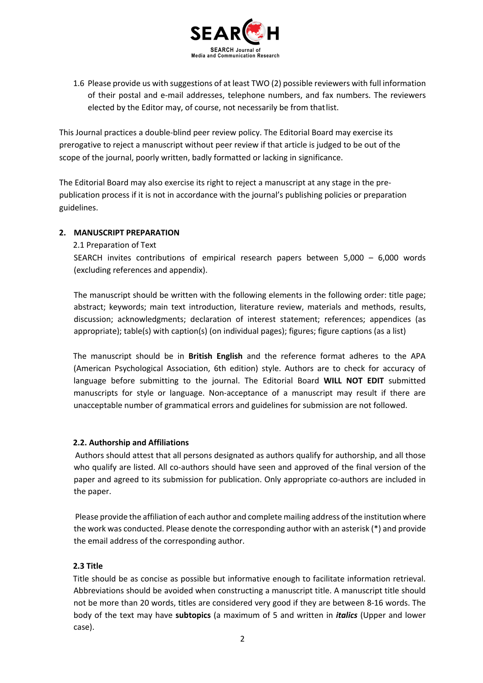

1.6 Please provide us with suggestions of at least TWO (2) possible reviewers with full information of their postal and e-mail addresses, telephone numbers, and fax numbers. The reviewers elected by the Editor may, of course, not necessarily be from thatlist.

This Journal practices a double-blind peer review policy. The Editorial Board may exercise its prerogative to reject a manuscript without peer review if that article is judged to be out of the scope of the journal, poorly written, badly formatted or lacking in significance.

The Editorial Board may also exercise its right to reject a manuscript at any stage in the prepublication process if it is not in accordance with the journal's publishing policies or preparation guidelines.

# **2. MANUSCRIPT PREPARATION**

2.1 Preparation of Text

SEARCH invites contributions of empirical research papers between 5,000 – 6,000 words (excluding references and appendix).

The manuscript should be written with the following elements in the following order: title page; abstract; keywords; main text introduction, literature review, materials and methods, results, discussion; acknowledgments; declaration of interest statement; references; appendices (as appropriate); table(s) with caption(s) (on individual pages); figures; figure captions (as a list)

The manuscript should be in **British English** and the reference format adheres to the APA (American Psychological Association, 6th edition) style. Authors are to check for accuracy of language before submitting to the journal. The Editorial Board **WILL NOT EDIT** submitted manuscripts for style or language. Non-acceptance of a manuscript may result if there are unacceptable number of grammatical errors and guidelines for submission are not followed.

## **2.2. Authorship and Affiliations**

Authors should attest that all persons designated as authors qualify for authorship, and all those who qualify are listed. All co-authors should have seen and approved of the final version of the paper and agreed to its submission for publication. Only appropriate co-authors are included in the paper.

Please provide the affiliation of each author and complete mailing address of the institution where the work was conducted. Please denote the corresponding author with an asterisk (\*) and provide the email address of the corresponding author.

## **2.3 Title**

Title should be as concise as possible but informative enough to facilitate information retrieval. Abbreviations should be avoided when constructing a manuscript title. A manuscript title should not be more than 20 words, titles are considered very good if they are between 8-16 words. The body of the text may have **subtopics** (a maximum of 5 and written in *italics* (Upper and lower case).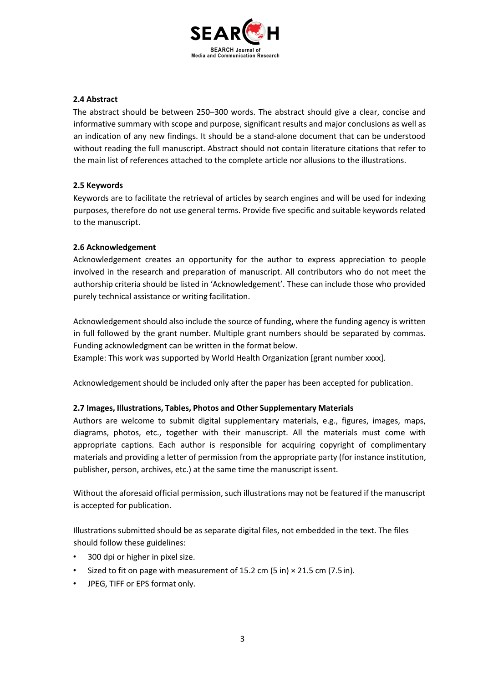

# **2.4 Abstract**

The abstract should be between 250–300 words. The abstract should give a clear, concise and informative summary with scope and purpose, significant results and major conclusions as well as an indication of any new findings. It should be a stand-alone document that can be understood without reading the full manuscript. Abstract should not contain literature citations that refer to the main list of references attached to the complete article nor allusions to the illustrations.

# **2.5 Keywords**

Keywords are to facilitate the retrieval of articles by search engines and will be used for indexing purposes, therefore do not use general terms. Provide five specific and suitable keywords related to the manuscript.

# **2.6 Acknowledgement**

Acknowledgement creates an opportunity for the author to express appreciation to people involved in the research and preparation of manuscript. All contributors who do not meet the authorship criteria should be listed in 'Acknowledgement'. These can include those who provided purely technical assistance or writing facilitation.

Acknowledgement should also include the source of funding, where the funding agency is written in full followed by the grant number. Multiple grant numbers should be separated by commas. Funding acknowledgment can be written in the format below.

Example: This work was supported by World Health Organization [grant number xxxx].

Acknowledgement should be included only after the paper has been accepted for publication.

# **2.7 Images, Illustrations, Tables, Photos and Other Supplementary Materials**

Authors are welcome to submit digital supplementary materials, e.g., figures, images, maps, diagrams, photos, etc., together with their manuscript. All the materials must come with appropriate captions. Each author is responsible for acquiring copyright of complimentary materials and providing a letter of permission from the appropriate party (for instance institution, publisher, person, archives, etc.) at the same time the manuscript issent.

Without the aforesaid official permission, such illustrations may not be featured if the manuscript is accepted for publication.

Illustrations submitted should be as separate digital files, not embedded in the text. The files should follow these guidelines:

- 300 dpi or higher in pixel size.
- Sized to fit on page with measurement of 15.2 cm (5 in) × 21.5 cm (7.5in).
- JPEG, TIFF or EPS format only.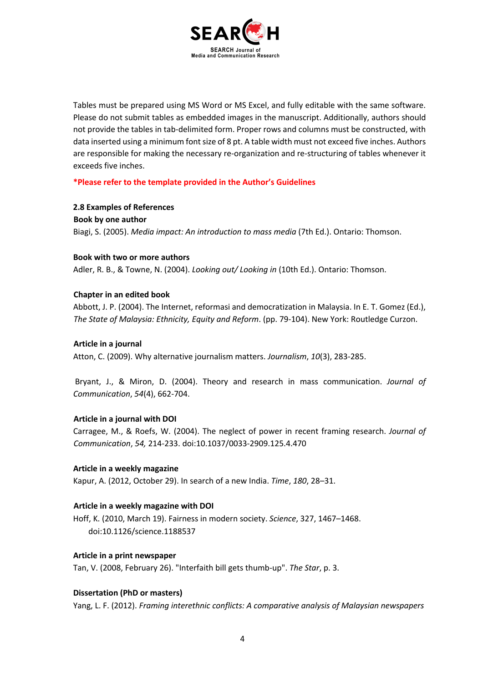

Tables must be prepared using MS Word or MS Excel, and fully editable with the same software. Please do not submit tables as embedded images in the manuscript. Additionally, authors should not provide the tables in tab-delimited form. Proper rows and columns must be constructed, with data inserted using a minimum font size of 8 pt. A table width must not exceed five inches. Authors are responsible for making the necessary re-organization and re-structuring of tables whenever it exceeds five inches.

**\*Please refer to the template provided in the Author's Guidelines** 

**2.8 Examples of References Book by one author** Biagi, S. (2005). *Media impact: An introduction to mass media* (7th Ed.). Ontario: Thomson.

#### **Book with two or more authors**

Adler, R. B., & Towne, N. (2004). *Looking out/ Looking in* (10th Ed.). Ontario: Thomson.

#### **Chapter in an edited book**

Abbott, J. P. (2004). The Internet, reformasi and democratization in Malaysia. In E. T. Gomez (Ed.), *The State of Malaysia: Ethnicity, Equity and Reform*. (pp. 79-104). New York: Routledge Curzon.

#### **Article in a journal**

Atton, C. (2009). Why alternative journalism matters. *Journalism*, *10*(3), 283-285.

Bryant, J., & Miron, D. (2004). Theory and research in mass communication. *Journal of Communication*, *54*(4), 662-704.

## **Article in a journal with DOI**

Carragee, M., & Roefs, W. (2004). The neglect of power in recent framing research. *Journal of Communication*, *54,* 214-233. doi:10.1037/0033-2909.125.4.470

#### **Article in a weekly magazine**

Kapur, A. (2012, October 29). In search of a new India. *Time*, *180*, 28–31.

#### **Article in a weekly magazine with DOI**

Hoff, K. (2010, March 19). Fairness in modern society. *Science*, 327, 1467–1468. doi:10.1126/science.1188537

#### **Article in a print newspaper**

Tan, V. (2008, February 26). "Interfaith bill gets thumb-up". *The Star*, p. 3.

## **Dissertation (PhD or masters)**

Yang, L. F. (2012). *Framing interethnic conflicts: A comparative analysis of Malaysian newspapers*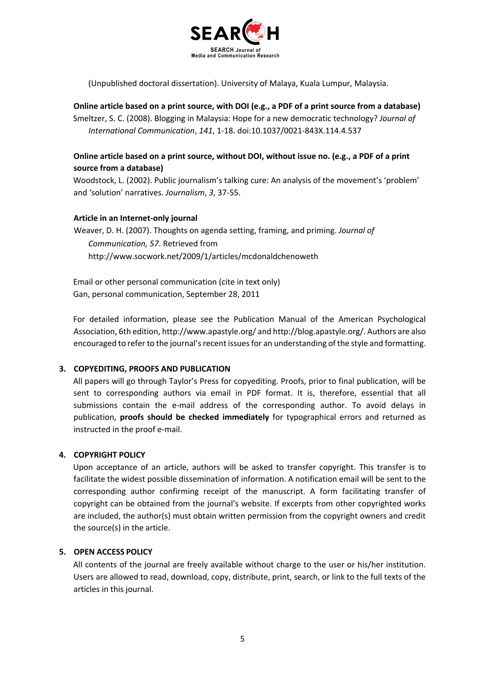

(Unpublished doctoral dissertation). University of Malaya, Kuala Lumpur, Malaysia.

**Online article based on a print source, with DOI (e.g., a PDF of a print source from a database)** Smeltzer, S. C. (2008). Blogging in Malaysia: Hope for a new democratic technology? *Journal of International Communication*, *141*, 1-18. doi:10.1037/0021-843X.114.4.537

# **Online article based on a print source, without DOI, without issue no. (e.g., a PDF of a print source from a database)**

Woodstock, L. (2002). Public journalism's talking cure: An analysis of the movement's 'problem' and 'solution' narratives. *Journalism*, *3*, 37-55.

# **Article in an Internet-only journal**

Weaver, D. H. (2007). Thoughts on agenda setting, framing, and priming. *Journal of Communication, 57*. Retrieved from http://www.socwork.net/2009/1/articles/mcdonaldchenoweth

Email or other personal communication (cite in text only) Gan, personal communication, September 28, 2011

For detailed information, please see the Publication Manual of the American Psychological Association, 6th edition, http://www.apastyle.org/ and http://blog.apastyle.org/. Authors are also encouraged to refer to the journal's recent issues for an understanding of the style and formatting.

## **3. COPYEDITING, PROOFS AND PUBLICATION**

All papers will go through Taylor's Press for copyediting. Proofs, prior to final publication, will be sent to corresponding authors via email in PDF format. It is, therefore, essential that all submissions contain the e-mail address of the corresponding author. To avoid delays in publication, **proofs should be checked immediately** for typographical errors and returned as instructed in the proof e-mail.

# **4. COPYRIGHT POLICY**

Upon acceptance of an article, authors will be asked to transfer copyright. This transfer is to facilitate the widest possible dissemination of information. A notification email will be sent to the corresponding author confirming receipt of the manuscript. A form facilitating transfer of copyright can be obtained from the journal's website. If excerpts from other copyrighted works are included, the author(s) must obtain written permission from the copyright owners and credit the source(s) in the article.

## **5. OPEN ACCESS POLICY**

All contents of the journal are freely available without charge to the user or his/her institution. Users are allowed to read, download, copy, distribute, print, search, or link to the full texts of the articles in this journal.